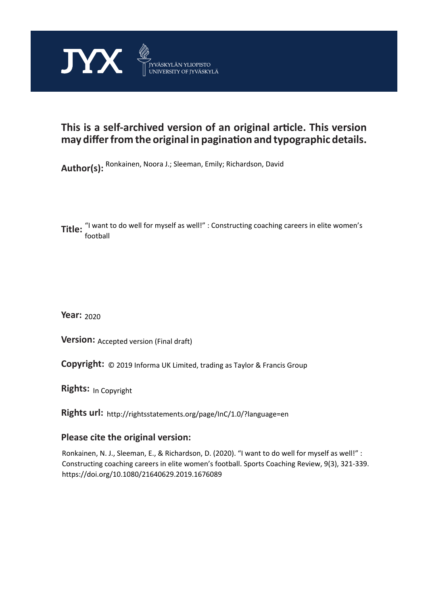

## **This is a self-archived version of an original article. This version may differ from the original in pagination and typographic details.**

**Author(s):**  Ronkainen, Noora J.; Sleeman, Emily; Richardson, David

**Title:** "I want to do well for myself as well!" : Constructing coaching careers in elite women's<br>**Title:**  $\frac{1}{2}$ football

**Year:**  2020

**Version: Accepted version (Final draft)** 

**Version:** Accepted version (Final draft)<br>**Copyright:** © 2019 Informa UK Limited, trading as Taylor & Francis Group

**Rights:** In Copyright

**Rights url:**  http://rightsstatements.org/page/InC/1.0/?language=en

## **Please cite the original version:**

Ronkainen, N. J., Sleeman, E., & Richardson, D. (2020). "I want to do well for myself as well!" : Constructing coaching careers in elite women's football. Sports Coaching Review, 9(3), 321-339. https://doi.org/10.1080/21640629.2019.1676089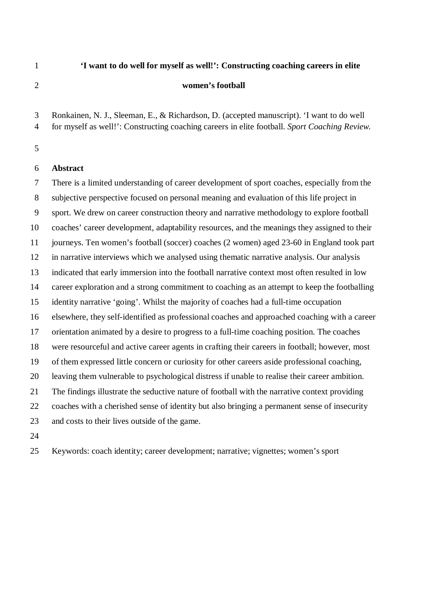# **'I want to do well for myself as well!': Constructing coaching careers in elite women's football**

Ronkainen, N. J., Sleeman, E., & Richardson, D. (accepted manuscript). 'I want to do well

for myself as well!': Constructing coaching careers in elite football. *Sport Coaching Review.*

## **Abstract**

 There is a limited understanding of career development of sport coaches, especially from the subjective perspective focused on personal meaning and evaluation of this life project in sport. We drew on career construction theory and narrative methodology to explore football coaches' career development, adaptability resources, and the meanings they assigned to their journeys. Ten women's football (soccer) coaches (2 women) aged 23-60 in England took part in narrative interviews which we analysed using thematic narrative analysis. Our analysis indicated that early immersion into the football narrative context most often resulted in low career exploration and a strong commitment to coaching as an attempt to keep the footballing identity narrative 'going'. Whilst the majority of coaches had a full-time occupation elsewhere, they self-identified as professional coaches and approached coaching with a career orientation animated by a desire to progress to a full-time coaching position. The coaches were resourceful and active career agents in crafting their careers in football; however, most of them expressed little concern or curiosity for other careers aside professional coaching, leaving them vulnerable to psychological distress if unable to realise their career ambition. The findings illustrate the seductive nature of football with the narrative context providing coaches with a cherished sense of identity but also bringing a permanent sense of insecurity and costs to their lives outside of the game.

Keywords: coach identity; career development; narrative; vignettes; women's sport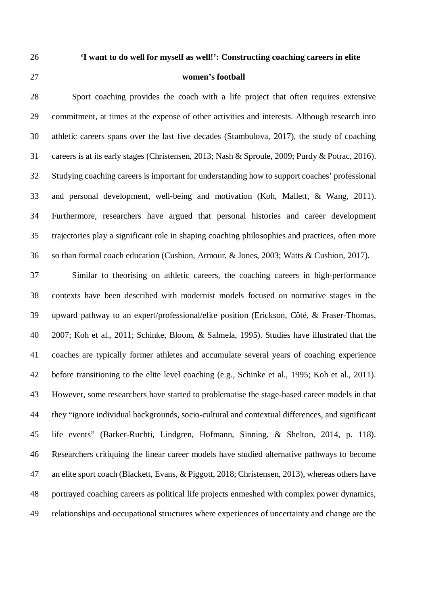## **'I want to do well for myself as well!': Constructing coaching careers in elite**

## **women's football**

 Sport coaching provides the coach with a life project that often requires extensive commitment, at times at the expense of other activities and interests. Although research into athletic careers spans over the last five decades (Stambulova, 2017), the study of coaching careers is at its early stages (Christensen, 2013; Nash & Sproule, 2009; Purdy & Potrac, 2016). Studying coaching careers is important for understanding how to support coaches' professional and personal development, well-being and motivation (Koh, Mallett, & Wang, 2011). Furthermore, researchers have argued that personal histories and career development trajectories play a significant role in shaping coaching philosophies and practices, often more so than formal coach education (Cushion, Armour, & Jones, 2003; Watts & Cushion, 2017).

 Similar to theorising on athletic careers, the coaching careers in high-performance contexts have been described with modernist models focused on normative stages in the upward pathway to an expert/professional/elite position (Erickson, Côté, & Fraser-Thomas, 2007; Koh et al., 2011; Schinke, Bloom, & Salmela, 1995). Studies have illustrated that the coaches are typically former athletes and accumulate several years of coaching experience before transitioning to the elite level coaching (e.g., Schinke et al., 1995; Koh et al., 2011). However, some researchers have started to problematise the stage-based career models in that they "ignore individual backgrounds, socio-cultural and contextual differences, and significant life events" (Barker-Ruchti, Lindgren, Hofmann, Sinning, & Shelton, 2014, p. 118). Researchers critiquing the linear career models have studied alternative pathways to become an elite sport coach (Blackett, Evans, & Piggott, 2018; Christensen, 2013), whereas others have portrayed coaching careers as political life projects enmeshed with complex power dynamics, relationships and occupational structures where experiences of uncertainty and change are the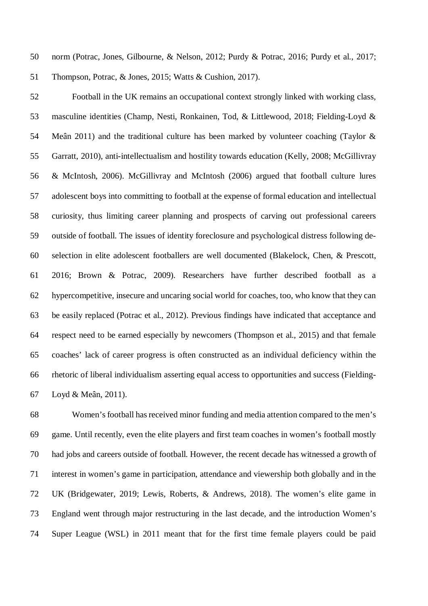norm (Potrac, Jones, Gilbourne, & Nelson, 2012; Purdy & Potrac, 2016; Purdy et al., 2017; Thompson, Potrac, & Jones, 2015; Watts & Cushion, 2017).

 Football in the UK remains an occupational context strongly linked with working class, masculine identities (Champ, Nesti, Ronkainen, Tod, & Littlewood, 2018; Fielding-Loyd & Meân 2011) and the traditional culture has been marked by volunteer coaching (Taylor & Garratt, 2010), anti-intellectualism and hostility towards education (Kelly, 2008; McGillivray & McIntosh, 2006). McGillivray and McIntosh (2006) argued that football culture lures adolescent boys into committing to football at the expense of formal education and intellectual curiosity, thus limiting career planning and prospects of carving out professional careers outside of football. The issues of identity foreclosure and psychological distress following de- selection in elite adolescent footballers are well documented (Blakelock, Chen, & Prescott, 2016; Brown & Potrac, 2009). Researchers have further described football as a hypercompetitive, insecure and uncaring social world for coaches, too, who know that they can be easily replaced (Potrac et al., 2012). Previous findings have indicated that acceptance and respect need to be earned especially by newcomers (Thompson et al., 2015) and that female coaches' lack of career progress is often constructed as an individual deficiency within the rhetoric of liberal individualism asserting equal access to opportunities and success (Fielding-Loyd & Meân, 2011).

 Women's football has received minor funding and media attention compared to the men's game. Until recently, even the elite players and first team coaches in women's football mostly had jobs and careers outside of football. However, the recent decade has witnessed a growth of interest in women's game in participation, attendance and viewership both globally and in the UK (Bridgewater, 2019; Lewis, Roberts, & Andrews, 2018). The women's elite game in England went through major restructuring in the last decade, and the introduction Women's Super League (WSL) in 2011 meant that for the first time female players could be paid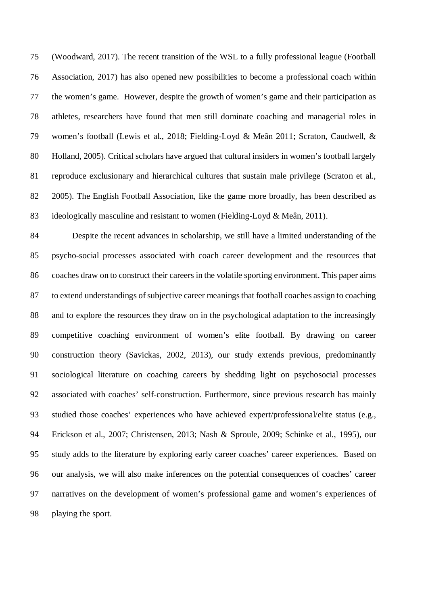(Woodward, 2017). The recent transition of the WSL to a fully professional league (Football Association, 2017) has also opened new possibilities to become a professional coach within the women's game. However, despite the growth of women's game and their participation as athletes, researchers have found that men still dominate coaching and managerial roles in women's football (Lewis et al., 2018; Fielding-Loyd & Meân 2011; Scraton, Caudwell, & Holland, 2005). Critical scholars have argued that cultural insiders in women's football largely reproduce exclusionary and hierarchical cultures that sustain male privilege (Scraton et al., 2005). The English Football Association, like the game more broadly, has been described as ideologically masculine and resistant to women (Fielding-Loyd & Meân, 2011).

 Despite the recent advances in scholarship, we still have a limited understanding of the psycho-social processes associated with coach career development and the resources that coaches draw on to construct their careers in the volatile sporting environment. This paper aims to extend understandings of subjective career meanings that football coaches assign to coaching and to explore the resources they draw on in the psychological adaptation to the increasingly competitive coaching environment of women's elite football. By drawing on career construction theory (Savickas, 2002, 2013), our study extends previous, predominantly sociological literature on coaching careers by shedding light on psychosocial processes associated with coaches' self-construction. Furthermore, since previous research has mainly studied those coaches' experiences who have achieved expert/professional/elite status (e.g., Erickson et al., 2007; Christensen, 2013; Nash & Sproule, 2009; Schinke et al., 1995), our study adds to the literature by exploring early career coaches' career experiences. Based on our analysis, we will also make inferences on the potential consequences of coaches' career narratives on the development of women's professional game and women's experiences of playing the sport.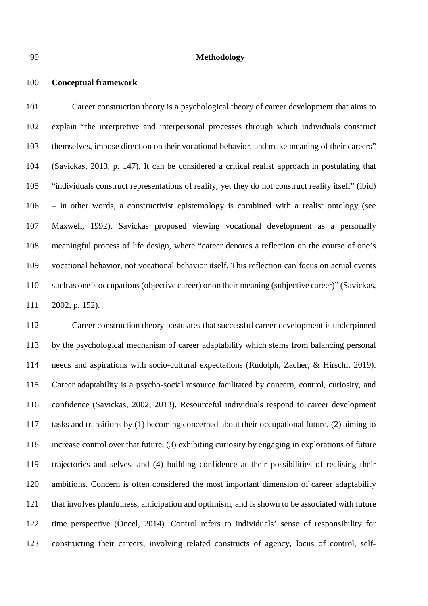#### **Methodology**

### **Conceptual framework**

 Career construction theory is a psychological theory of career development that aims to explain "the interpretive and interpersonal processes through which individuals construct themselves, impose direction on their vocational behavior, and make meaning of their careers" (Savickas, 2013, p. 147). It can be considered a critical realist approach in postulating that "individuals construct representations of reality, yet they do not construct reality itself" (ibid) – in other words, a constructivist epistemology is combined with a realist ontology (see Maxwell, 1992). Savickas proposed viewing vocational development as a personally meaningful process of life design, where "career denotes a reflection on the course of one's vocational behavior, not vocational behavior itself. This reflection can focus on actual events such as one's occupations (objective career) or on their meaning (subjective career)" (Savickas, 2002, p. 152).

 Career construction theory postulates that successful career development is underpinned by the psychological mechanism of career adaptability which stems from balancing personal needs and aspirations with socio-cultural expectations (Rudolph, Zacher, & Hirschi, 2019). Career adaptability is a psycho-social resource facilitated by concern, control, curiosity, and confidence (Savickas, 2002; 2013). Resourceful individuals respond to career development tasks and transitions by (1) becoming concerned about their occupational future, (2) aiming to increase control over that future, (3) exhibiting curiosity by engaging in explorations of future trajectories and selves, and (4) building confidence at their possibilities of realising their ambitions. Concern is often considered the most important dimension of career adaptability that involves planfulness, anticipation and optimism, and is shown to be associated with future time perspective (Öncel, 2014). Control refers to individuals' sense of responsibility for constructing their careers, involving related constructs of agency, locus of control, self-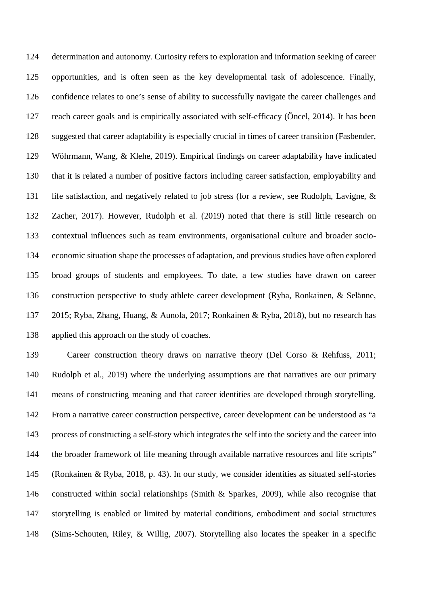determination and autonomy. Curiosity refers to exploration and information seeking of career opportunities, and is often seen as the key developmental task of adolescence. Finally, confidence relates to one's sense of ability to successfully navigate the career challenges and reach career goals and is empirically associated with self-efficacy (Öncel, 2014). It has been suggested that career adaptability is especially crucial in times of career transition (Fasbender, Wöhrmann, Wang, & Klehe, 2019). Empirical findings on career adaptability have indicated that it is related a number of positive factors including career satisfaction, employability and life satisfaction, and negatively related to job stress (for a review, see Rudolph, Lavigne, & Zacher, 2017). However, Rudolph et al. (2019) noted that there is still little research on contextual influences such as team environments, organisational culture and broader socio- economic situation shape the processes of adaptation, and previous studies have often explored broad groups of students and employees. To date, a few studies have drawn on career construction perspective to study athlete career development (Ryba, Ronkainen, & Selänne, 2015; Ryba, Zhang, Huang, & Aunola, 2017; Ronkainen & Ryba, 2018), but no research has applied this approach on the study of coaches.

 Career construction theory draws on narrative theory (Del Corso & Rehfuss, 2011; Rudolph et al., 2019) where the underlying assumptions are that narratives are our primary means of constructing meaning and that career identities are developed through storytelling. From a narrative career construction perspective, career development can be understood as "a process of constructing a self-story which integrates the self into the society and the career into the broader framework of life meaning through available narrative resources and life scripts" (Ronkainen & Ryba, 2018, p. 43). In our study, we consider identities as situated self-stories constructed within social relationships (Smith & Sparkes, 2009), while also recognise that storytelling is enabled or limited by material conditions, embodiment and social structures (Sims-Schouten, Riley, & Willig, 2007). Storytelling also locates the speaker in a specific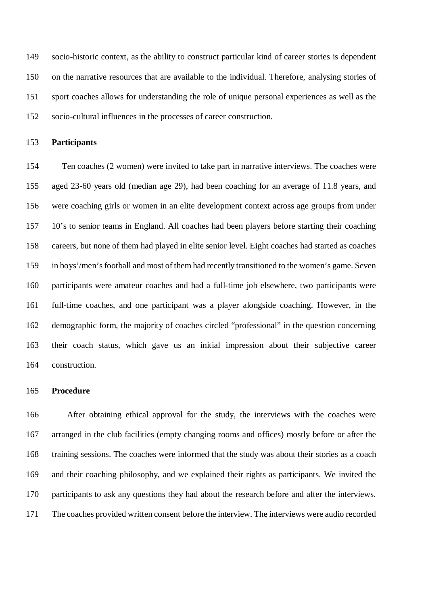socio-historic context, as the ability to construct particular kind of career stories is dependent on the narrative resources that are available to the individual. Therefore, analysing stories of sport coaches allows for understanding the role of unique personal experiences as well as the socio-cultural influences in the processes of career construction.

## **Participants**

 Ten coaches (2 women) were invited to take part in narrative interviews. The coaches were aged 23-60 years old (median age 29), had been coaching for an average of 11.8 years, and were coaching girls or women in an elite development context across age groups from under 10's to senior teams in England. All coaches had been players before starting their coaching careers, but none of them had played in elite senior level. Eight coaches had started as coaches in boys'/men's football and most of them had recently transitioned to the women's game. Seven participants were amateur coaches and had a full-time job elsewhere, two participants were full-time coaches, and one participant was a player alongside coaching. However, in the demographic form, the majority of coaches circled "professional" in the question concerning their coach status, which gave us an initial impression about their subjective career construction.

## **Procedure**

 After obtaining ethical approval for the study, the interviews with the coaches were arranged in the club facilities (empty changing rooms and offices) mostly before or after the training sessions. The coaches were informed that the study was about their stories as a coach and their coaching philosophy, and we explained their rights as participants. We invited the participants to ask any questions they had about the research before and after the interviews. The coaches provided written consent before the interview. The interviews were audio recorded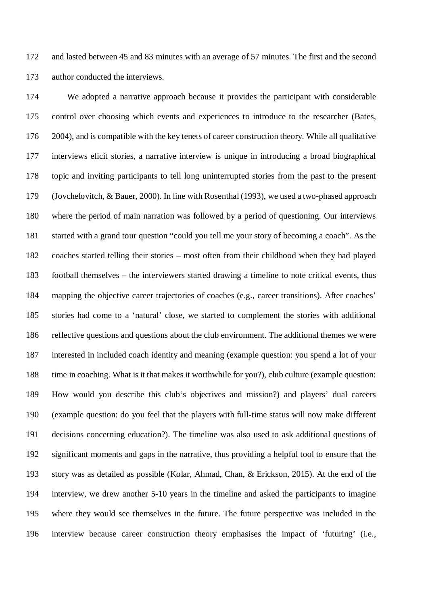and lasted between 45 and 83 minutes with an average of 57 minutes. The first and the second author conducted the interviews.

 We adopted a narrative approach because it provides the participant with considerable control over choosing which events and experiences to introduce to the researcher (Bates, 2004), and is compatible with the key tenets of career construction theory. While all qualitative interviews elicit stories, a narrative interview is unique in introducing a broad biographical topic and inviting participants to tell long uninterrupted stories from the past to the present (Jovchelovitch, & Bauer, 2000). In line with Rosenthal (1993), we used a two-phased approach where the period of main narration was followed by a period of questioning. Our interviews started with a grand tour question "could you tell me your story of becoming a coach". As the coaches started telling their stories – most often from their childhood when they had played football themselves – the interviewers started drawing a timeline to note critical events, thus mapping the objective career trajectories of coaches (e.g., career transitions). After coaches' stories had come to a 'natural' close, we started to complement the stories with additional reflective questions and questions about the club environment. The additional themes we were interested in included coach identity and meaning (example question: you spend a lot of your time in coaching. What is it that makes it worthwhile for you?), club culture (example question: How would you describe this club's objectives and mission?) and players' dual careers (example question: do you feel that the players with full-time status will now make different decisions concerning education?). The timeline was also used to ask additional questions of significant moments and gaps in the narrative, thus providing a helpful tool to ensure that the story was as detailed as possible (Kolar, Ahmad, Chan, & Erickson, 2015). At the end of the interview, we drew another 5-10 years in the timeline and asked the participants to imagine where they would see themselves in the future. The future perspective was included in the interview because career construction theory emphasises the impact of 'futuring' (i.e.,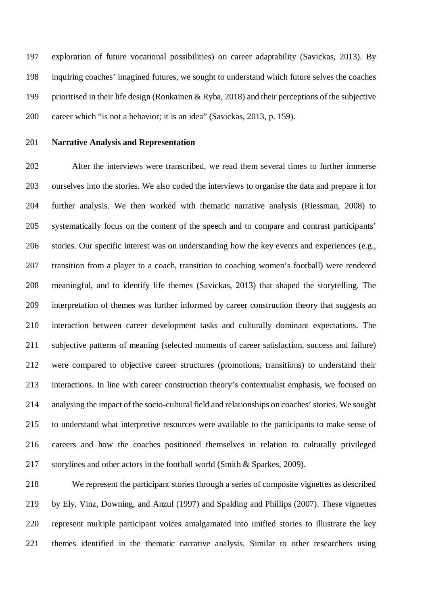exploration of future vocational possibilities) on career adaptability (Savickas, 2013). By inquiring coaches' imagined futures, we sought to understand which future selves the coaches prioritised in their life design (Ronkainen & Ryba, 2018) and their perceptions of the subjective career which "is not a behavior; it is an idea" (Savickas, 2013, p. 159).

## **Narrative Analysis and Representation**

 After the interviews were transcribed, we read them several times to further immerse ourselves into the stories. We also coded the interviews to organise the data and prepare it for further analysis. We then worked with thematic narrative analysis (Riessman, 2008) to systematically focus on the content of the speech and to compare and contrast participants' stories. Our specific interest was on understanding how the key events and experiences (e.g., transition from a player to a coach, transition to coaching women's football) were rendered meaningful, and to identify life themes (Savickas, 2013) that shaped the storytelling. The interpretation of themes was further informed by career construction theory that suggests an interaction between career development tasks and culturally dominant expectations. The subjective patterns of meaning (selected moments of career satisfaction, success and failure) were compared to objective career structures (promotions, transitions) to understand their interactions. In line with career construction theory's contextualist emphasis, we focused on analysing the impact of the socio-cultural field and relationships on coaches' stories. We sought to understand what interpretive resources were available to the participants to make sense of careers and how the coaches positioned themselves in relation to culturally privileged storylines and other actors in the football world (Smith & Sparkes, 2009).

 We represent the participant stories through a series of composite vignettes as described by Ely, Vinz, Downing, and Anzul (1997) and Spalding and Phillips (2007). These vignettes represent multiple participant voices amalgamated into unified stories to illustrate the key themes identified in the thematic narrative analysis. Similar to other researchers using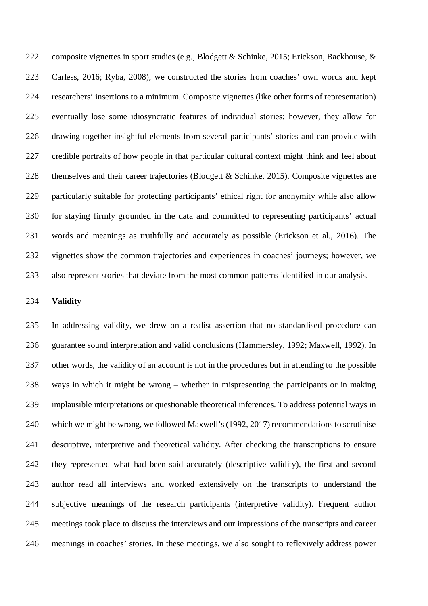composite vignettes in sport studies (e.g., Blodgett & Schinke, 2015; Erickson, Backhouse, & Carless, 2016; Ryba, 2008), we constructed the stories from coaches' own words and kept researchers' insertions to a minimum. Composite vignettes (like other forms of representation) eventually lose some idiosyncratic features of individual stories; however, they allow for drawing together insightful elements from several participants' stories and can provide with credible portraits of how people in that particular cultural context might think and feel about themselves and their career trajectories (Blodgett & Schinke, 2015). Composite vignettes are particularly suitable for protecting participants' ethical right for anonymity while also allow for staying firmly grounded in the data and committed to representing participants' actual words and meanings as truthfully and accurately as possible (Erickson et al., 2016). The vignettes show the common trajectories and experiences in coaches' journeys; however, we also represent stories that deviate from the most common patterns identified in our analysis.

#### **Validity**

 In addressing validity, we drew on a realist assertion that no standardised procedure can guarantee sound interpretation and valid conclusions (Hammersley, 1992; Maxwell, 1992). In other words, the validity of an account is not in the procedures but in attending to the possible ways in which it might be wrong – whether in mispresenting the participants or in making implausible interpretations or questionable theoretical inferences. To address potential ways in which we might be wrong, we followed Maxwell's (1992, 2017) recommendations to scrutinise descriptive, interpretive and theoretical validity. After checking the transcriptions to ensure they represented what had been said accurately (descriptive validity), the first and second author read all interviews and worked extensively on the transcripts to understand the subjective meanings of the research participants (interpretive validity). Frequent author meetings took place to discuss the interviews and our impressions of the transcripts and career meanings in coaches' stories. In these meetings, we also sought to reflexively address power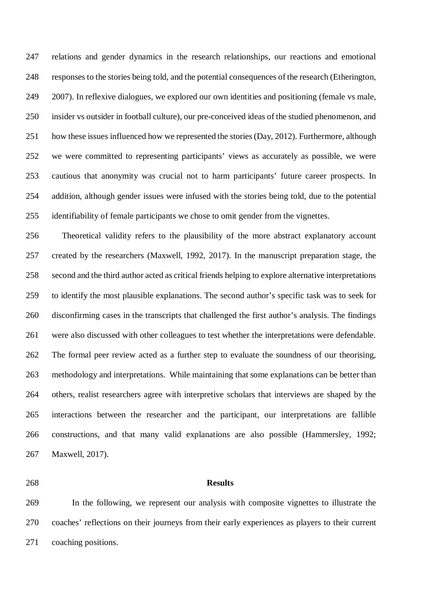relations and gender dynamics in the research relationships, our reactions and emotional responses to the stories being told, and the potential consequences of the research (Etherington, 2007). In reflexive dialogues, we explored our own identities and positioning (female vs male, insider vs outsider in football culture), our pre-conceived ideas of the studied phenomenon, and how these issues influenced how we represented the stories (Day, 2012). Furthermore, although we were committed to representing participants' views as accurately as possible, we were cautious that anonymity was crucial not to harm participants' future career prospects. In addition, although gender issues were infused with the stories being told, due to the potential identifiability of female participants we chose to omit gender from the vignettes.

 Theoretical validity refers to the plausibility of the more abstract explanatory account created by the researchers (Maxwell, 1992, 2017). In the manuscript preparation stage, the second and the third author acted as critical friends helping to explore alternative interpretations to identify the most plausible explanations. The second author's specific task was to seek for disconfirming cases in the transcripts that challenged the first author's analysis. The findings were also discussed with other colleagues to test whether the interpretations were defendable. The formal peer review acted as a further step to evaluate the soundness of our theorising, methodology and interpretations. While maintaining that some explanations can be better than others, realist researchers agree with interpretive scholars that interviews are shaped by the interactions between the researcher and the participant, our interpretations are fallible constructions, and that many valid explanations are also possible (Hammersley, 1992; Maxwell, 2017).

### **Results**

 In the following, we represent our analysis with composite vignettes to illustrate the coaches' reflections on their journeys from their early experiences as players to their current coaching positions.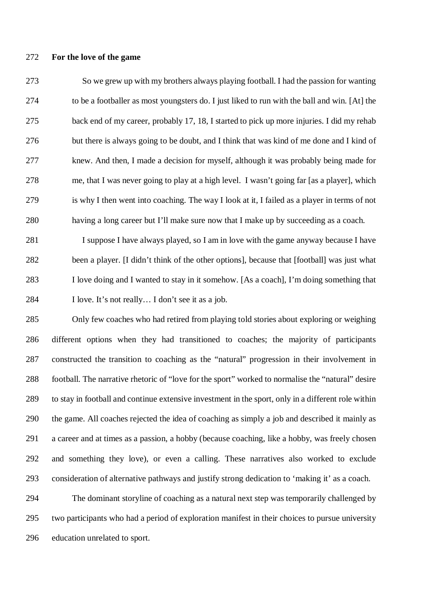### **For the love of the game**

 So we grew up with my brothers always playing football. I had the passion for wanting to be a footballer as most youngsters do. I just liked to run with the ball and win. [At] the back end of my career, probably 17, 18, I started to pick up more injuries. I did my rehab but there is always going to be doubt, and I think that was kind of me done and I kind of knew. And then, I made a decision for myself, although it was probably being made for me, that I was never going to play at a high level. I wasn't going far [as a player], which is why I then went into coaching. The way I look at it, I failed as a player in terms of not having a long career but I'll make sure now that I make up by succeeding as a coach.

 I suppose I have always played, so I am in love with the game anyway because I have been a player. [I didn't think of the other options], because that [football] was just what I love doing and I wanted to stay in it somehow. [As a coach], I'm doing something that I love. It's not really… I don't see it as a job.

 Only few coaches who had retired from playing told stories about exploring or weighing different options when they had transitioned to coaches; the majority of participants constructed the transition to coaching as the "natural" progression in their involvement in football. The narrative rhetoric of "love for the sport" worked to normalise the "natural" desire to stay in football and continue extensive investment in the sport, only in a different role within the game. All coaches rejected the idea of coaching as simply a job and described it mainly as a career and at times as a passion, a hobby (because coaching, like a hobby, was freely chosen and something they love), or even a calling. These narratives also worked to exclude consideration of alternative pathways and justify strong dedication to 'making it' as a coach.

 The dominant storyline of coaching as a natural next step was temporarily challenged by two participants who had a period of exploration manifest in their choices to pursue university education unrelated to sport.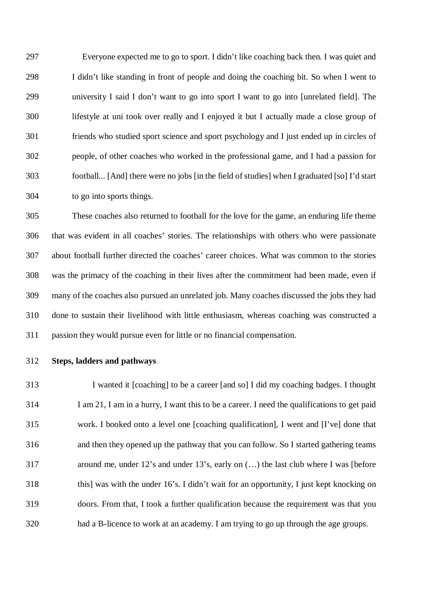Everyone expected me to go to sport. I didn't like coaching back then. I was quiet and I didn't like standing in front of people and doing the coaching bit. So when I went to university I said I don't want to go into sport I want to go into [unrelated field]. The lifestyle at uni took over really and I enjoyed it but I actually made a close group of friends who studied sport science and sport psychology and I just ended up in circles of people, of other coaches who worked in the professional game, and I had a passion for football... [And] there were no jobs [in the field of studies] when I graduated [so] I'd start to go into sports things.

 These coaches also returned to football for the love for the game, an enduring life theme that was evident in all coaches' stories. The relationships with others who were passionate about football further directed the coaches' career choices. What was common to the stories was the primacy of the coaching in their lives after the commitment had been made, even if many of the coaches also pursued an unrelated job. Many coaches discussed the jobs they had done to sustain their livelihood with little enthusiasm, whereas coaching was constructed a passion they would pursue even for little or no financial compensation.

**Steps, ladders and pathways**

 I wanted it [coaching] to be a career [and so] I did my coaching badges. I thought I am 21, I am in a hurry, I want this to be a career. I need the qualifications to get paid work. I booked onto a level one [coaching qualification], I went and [I've] done that and then they opened up the pathway that you can follow. So I started gathering teams around me, under 12's and under 13's, early on (…) the last club where I was [before this] was with the under 16's. I didn't wait for an opportunity, I just kept knocking on doors. From that, I took a further qualification because the requirement was that you had a B-licence to work at an academy. I am trying to go up through the age groups.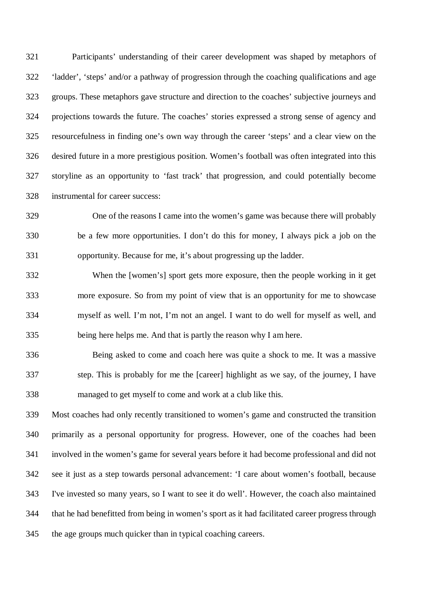Participants' understanding of their career development was shaped by metaphors of 'ladder', 'steps' and/or a pathway of progression through the coaching qualifications and age groups. These metaphors gave structure and direction to the coaches' subjective journeys and projections towards the future. The coaches' stories expressed a strong sense of agency and resourcefulness in finding one's own way through the career 'steps' and a clear view on the desired future in a more prestigious position. Women's football was often integrated into this storyline as an opportunity to 'fast track' that progression, and could potentially become instrumental for career success:

 One of the reasons I came into the women's game was because there will probably be a few more opportunities. I don't do this for money, I always pick a job on the opportunity. Because for me, it's about progressing up the ladder.

 When the [women's] sport gets more exposure, then the people working in it get more exposure. So from my point of view that is an opportunity for me to showcase myself as well. I'm not, I'm not an angel. I want to do well for myself as well, and being here helps me. And that is partly the reason why I am here.

 Being asked to come and coach here was quite a shock to me. It was a massive step. This is probably for me the [career] highlight as we say, of the journey, I have managed to get myself to come and work at a club like this.

 Most coaches had only recently transitioned to women's game and constructed the transition primarily as a personal opportunity for progress. However, one of the coaches had been involved in the women's game for several years before it had become professional and did not see it just as a step towards personal advancement: 'I care about women's football, because I've invested so many years, so I want to see it do well'. However, the coach also maintained that he had benefitted from being in women's sport as it had facilitated career progress through the age groups much quicker than in typical coaching careers.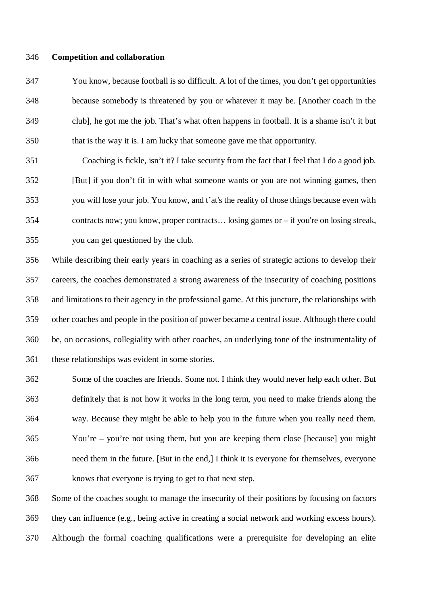#### **Competition and collaboration**

 You know, because football is so difficult. A lot of the times, you don't get opportunities because somebody is threatened by you or whatever it may be. [Another coach in the club], he got me the job. That's what often happens in football. It is a shame isn't it but that is the way it is. I am lucky that someone gave me that opportunity.

 Coaching is fickle, isn't it? I take security from the fact that I feel that I do a good job. [But] if you don't fit in with what someone wants or you are not winning games, then you will lose your job. You know, and t'at's the reality of those things because even with contracts now; you know, proper contracts… losing games or – if you're on losing streak, you can get questioned by the club.

 While describing their early years in coaching as a series of strategic actions to develop their careers, the coaches demonstrated a strong awareness of the insecurity of coaching positions and limitations to their agency in the professional game. At this juncture, the relationships with other coaches and people in the position of power became a central issue. Although there could be, on occasions, collegiality with other coaches, an underlying tone of the instrumentality of these relationships was evident in some stories.

 Some of the coaches are friends. Some not. I think they would never help each other. But definitely that is not how it works in the long term, you need to make friends along the way. Because they might be able to help you in the future when you really need them. You're – you're not using them, but you are keeping them close [because] you might need them in the future. [But in the end,] I think it is everyone for themselves, everyone knows that everyone is trying to get to that next step.

 Some of the coaches sought to manage the insecurity of their positions by focusing on factors they can influence (e.g., being active in creating a social network and working excess hours). Although the formal coaching qualifications were a prerequisite for developing an elite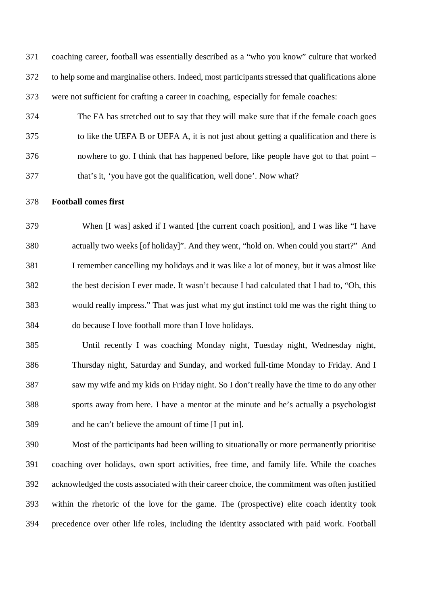coaching career, football was essentially described as a "who you know" culture that worked to help some and marginalise others. Indeed, most participants stressed that qualifications alone were not sufficient for crafting a career in coaching, especially for female coaches:

- The FA has stretched out to say that they will make sure that if the female coach goes to like the UEFA B or UEFA A, it is not just about getting a qualification and there is nowhere to go. I think that has happened before, like people have got to that point – that's it, 'you have got the qualification, well done'. Now what?
- **Football comes first**

 When [I was] asked if I wanted [the current coach position], and I was like "I have actually two weeks [of holiday]". And they went, "hold on. When could you start?" And I remember cancelling my holidays and it was like a lot of money, but it was almost like the best decision I ever made. It wasn't because I had calculated that I had to, "Oh, this would really impress." That was just what my gut instinct told me was the right thing to do because I love football more than I love holidays.

 Until recently I was coaching Monday night, Tuesday night, Wednesday night, Thursday night, Saturday and Sunday, and worked full-time Monday to Friday. And I saw my wife and my kids on Friday night. So I don't really have the time to do any other sports away from here. I have a mentor at the minute and he's actually a psychologist and he can't believe the amount of time [I put in].

 Most of the participants had been willing to situationally or more permanently prioritise coaching over holidays, own sport activities, free time, and family life. While the coaches acknowledged the costs associated with their career choice, the commitment was often justified within the rhetoric of the love for the game. The (prospective) elite coach identity took precedence over other life roles, including the identity associated with paid work. Football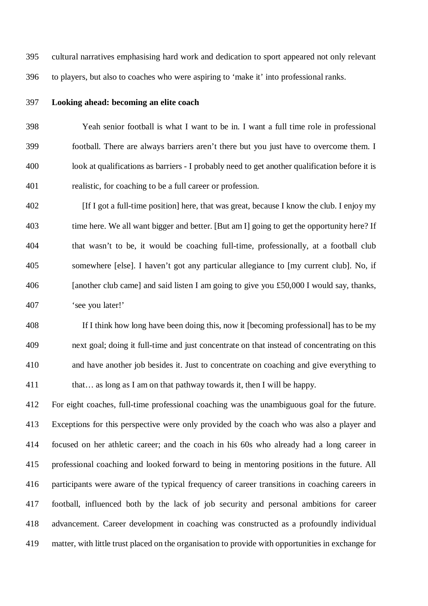cultural narratives emphasising hard work and dedication to sport appeared not only relevant to players, but also to coaches who were aspiring to 'make it' into professional ranks.

## **Looking ahead: becoming an elite coach**

 Yeah senior football is what I want to be in. I want a full time role in professional football. There are always barriers aren't there but you just have to overcome them. I look at qualifications as barriers - I probably need to get another qualification before it is realistic, for coaching to be a full career or profession.

 [If I got a full-time position] here, that was great, because I know the club. I enjoy my time here. We all want bigger and better. [But am I] going to get the opportunity here? If that wasn't to be, it would be coaching full-time, professionally, at a football club somewhere [else]. I haven't got any particular allegiance to [my current club]. No, if [another club came] and said listen I am going to give you £50,000 I would say, thanks, 'see you later!'

 If I think how long have been doing this, now it [becoming professional] has to be my next goal; doing it full-time and just concentrate on that instead of concentrating on this and have another job besides it. Just to concentrate on coaching and give everything to 411 that… as long as I am on that pathway towards it, then I will be happy.

 For eight coaches, full-time professional coaching was the unambiguous goal for the future. Exceptions for this perspective were only provided by the coach who was also a player and focused on her athletic career; and the coach in his 60s who already had a long career in professional coaching and looked forward to being in mentoring positions in the future. All participants were aware of the typical frequency of career transitions in coaching careers in football, influenced both by the lack of job security and personal ambitions for career advancement. Career development in coaching was constructed as a profoundly individual matter, with little trust placed on the organisation to provide with opportunities in exchange for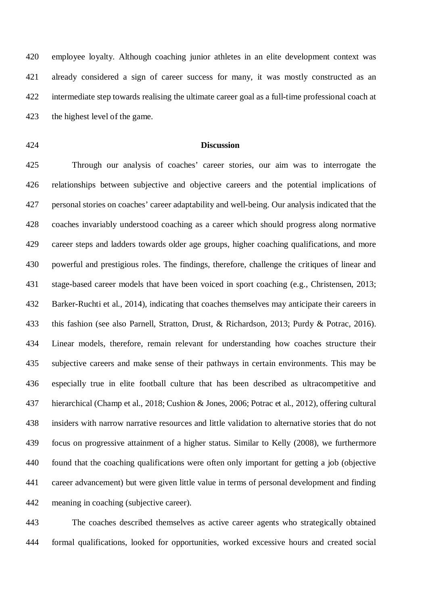employee loyalty. Although coaching junior athletes in an elite development context was already considered a sign of career success for many, it was mostly constructed as an intermediate step towards realising the ultimate career goal as a full-time professional coach at the highest level of the game.

#### **Discussion**

 Through our analysis of coaches' career stories, our aim was to interrogate the relationships between subjective and objective careers and the potential implications of personal stories on coaches' career adaptability and well-being. Our analysis indicated that the coaches invariably understood coaching as a career which should progress along normative career steps and ladders towards older age groups, higher coaching qualifications, and more powerful and prestigious roles. The findings, therefore, challenge the critiques of linear and stage-based career models that have been voiced in sport coaching (e.g., Christensen, 2013; Barker-Ruchti et al., 2014), indicating that coaches themselves may anticipate their careers in this fashion (see also Parnell, Stratton, Drust, & Richardson, 2013; Purdy & Potrac, 2016). Linear models, therefore, remain relevant for understanding how coaches structure their subjective careers and make sense of their pathways in certain environments. This may be especially true in elite football culture that has been described as ultracompetitive and hierarchical (Champ et al., 2018; Cushion & Jones, 2006; Potrac et al., 2012), offering cultural insiders with narrow narrative resources and little validation to alternative stories that do not focus on progressive attainment of a higher status. Similar to Kelly (2008), we furthermore found that the coaching qualifications were often only important for getting a job (objective career advancement) but were given little value in terms of personal development and finding meaning in coaching (subjective career).

 The coaches described themselves as active career agents who strategically obtained formal qualifications, looked for opportunities, worked excessive hours and created social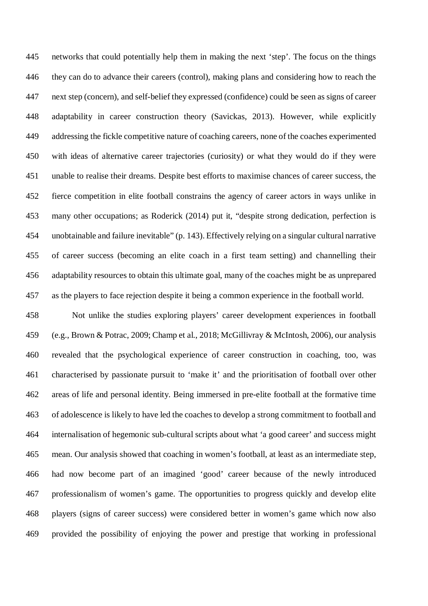networks that could potentially help them in making the next 'step'. The focus on the things they can do to advance their careers (control), making plans and considering how to reach the next step (concern), and self-belief they expressed (confidence) could be seen as signs of career adaptability in career construction theory (Savickas, 2013). However, while explicitly addressing the fickle competitive nature of coaching careers, none of the coaches experimented with ideas of alternative career trajectories (curiosity) or what they would do if they were unable to realise their dreams. Despite best efforts to maximise chances of career success, the fierce competition in elite football constrains the agency of career actors in ways unlike in many other occupations; as Roderick (2014) put it, "despite strong dedication, perfection is unobtainable and failure inevitable" (p. 143). Effectively relying on a singular cultural narrative of career success (becoming an elite coach in a first team setting) and channelling their adaptability resources to obtain this ultimate goal, many of the coaches might be as unprepared as the players to face rejection despite it being a common experience in the football world.

 Not unlike the studies exploring players' career development experiences in football (e.g., Brown & Potrac, 2009; Champ et al., 2018; McGillivray & McIntosh, 2006), our analysis revealed that the psychological experience of career construction in coaching, too, was characterised by passionate pursuit to 'make it' and the prioritisation of football over other areas of life and personal identity. Being immersed in pre-elite football at the formative time of adolescence is likely to have led the coaches to develop a strong commitment to football and internalisation of hegemonic sub-cultural scripts about what 'a good career' and success might mean. Our analysis showed that coaching in women's football, at least as an intermediate step, had now become part of an imagined 'good' career because of the newly introduced professionalism of women's game. The opportunities to progress quickly and develop elite players (signs of career success) were considered better in women's game which now also provided the possibility of enjoying the power and prestige that working in professional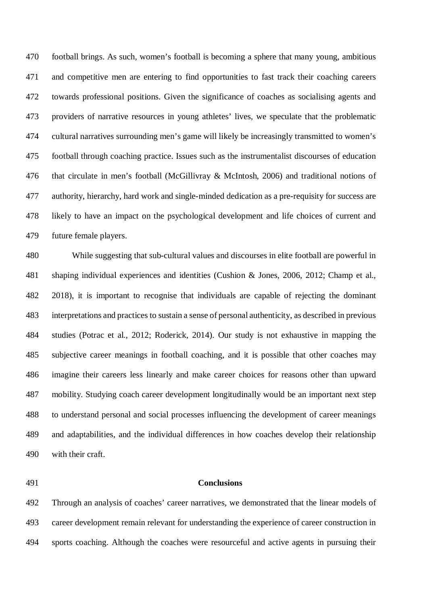football brings. As such, women's football is becoming a sphere that many young, ambitious and competitive men are entering to find opportunities to fast track their coaching careers towards professional positions. Given the significance of coaches as socialising agents and providers of narrative resources in young athletes' lives, we speculate that the problematic cultural narratives surrounding men's game will likely be increasingly transmitted to women's football through coaching practice. Issues such as the instrumentalist discourses of education that circulate in men's football (McGillivray & McIntosh, 2006) and traditional notions of authority, hierarchy, hard work and single-minded dedication as a pre-requisity for success are likely to have an impact on the psychological development and life choices of current and future female players.

 While suggesting that sub-cultural values and discourses in elite football are powerful in shaping individual experiences and identities (Cushion & Jones, 2006, 2012; Champ et al., 2018), it is important to recognise that individuals are capable of rejecting the dominant interpretations and practices to sustain a sense of personal authenticity, as described in previous studies (Potrac et al., 2012; Roderick, 2014). Our study is not exhaustive in mapping the subjective career meanings in football coaching, and it is possible that other coaches may imagine their careers less linearly and make career choices for reasons other than upward mobility. Studying coach career development longitudinally would be an important next step to understand personal and social processes influencing the development of career meanings and adaptabilities, and the individual differences in how coaches develop their relationship with their craft.

### **Conclusions**

 Through an analysis of coaches' career narratives, we demonstrated that the linear models of career development remain relevant for understanding the experience of career construction in sports coaching. Although the coaches were resourceful and active agents in pursuing their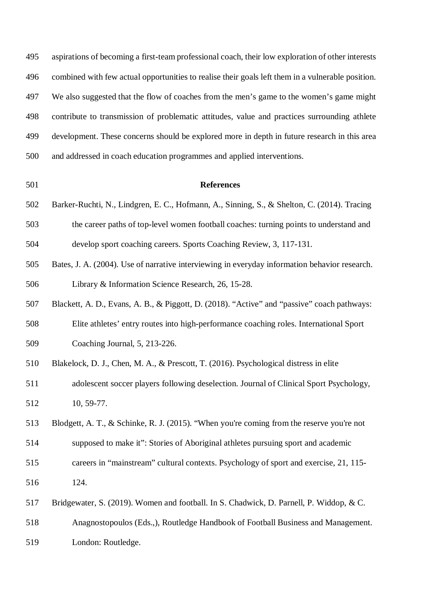| 495 | aspirations of becoming a first-team professional coach, their low exploration of other interests |
|-----|---------------------------------------------------------------------------------------------------|
| 496 | combined with few actual opportunities to realise their goals left them in a vulnerable position. |
| 497 | We also suggested that the flow of coaches from the men's game to the women's game might          |
| 498 | contribute to transmission of problematic attitudes, value and practices surrounding athlete      |
| 499 | development. These concerns should be explored more in depth in future research in this area      |
| 500 | and addressed in coach education programmes and applied interventions.                            |
| 501 | <b>References</b>                                                                                 |
| 502 | Barker-Ruchti, N., Lindgren, E. C., Hofmann, A., Sinning, S., & Shelton, C. (2014). Tracing       |
| 503 | the career paths of top-level women football coaches: turning points to understand and            |
| 504 | develop sport coaching careers. Sports Coaching Review, 3, 117-131.                               |
| 505 | Bates, J. A. (2004). Use of narrative interviewing in everyday information behavior research.     |
| 506 | Library & Information Science Research, 26, 15-28.                                                |
| 507 | Blackett, A. D., Evans, A. B., & Piggott, D. (2018). "Active" and "passive" coach pathways:       |
| 508 | Elite athletes' entry routes into high-performance coaching roles. International Sport            |
| 509 | Coaching Journal, 5, 213-226.                                                                     |
| 510 | Blakelock, D. J., Chen, M. A., & Prescott, T. (2016). Psychological distress in elite             |
| 511 | adolescent soccer players following deselection. Journal of Clinical Sport Psychology,            |
| 512 | 10, 59-77.                                                                                        |
| 513 | Blodgett, A. T., & Schinke, R. J. (2015). "When you're coming from the reserve you're not         |
| 514 | supposed to make it": Stories of Aboriginal athletes pursuing sport and academic                  |
| 515 | careers in "mainstream" cultural contexts. Psychology of sport and exercise, 21, 115-             |
| 516 | 124.                                                                                              |
| 517 | Bridgewater, S. (2019). Women and football. In S. Chadwick, D. Parnell, P. Widdop, & C.           |
| 518 | Anagnostopoulos (Eds.,), Routledge Handbook of Football Business and Management.                  |
| 519 | London: Routledge.                                                                                |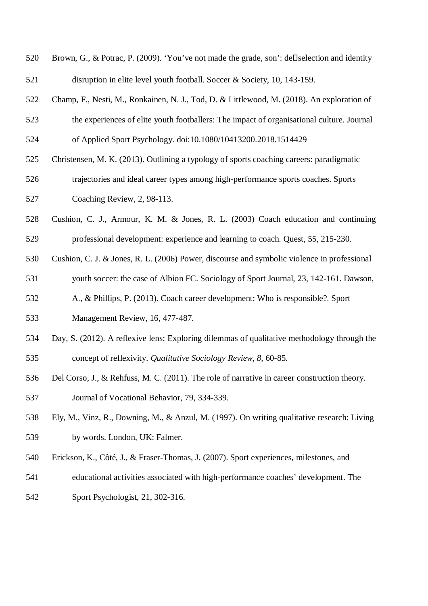| 520 | Brown, G., & Potrac, P. (2009). 'You've not made the grade, son': dell selection and identity |
|-----|-----------------------------------------------------------------------------------------------|
| 521 | disruption in elite level youth football. Soccer & Society, 10, 143-159.                      |
| 522 | Champ, F., Nesti, M., Ronkainen, N. J., Tod, D. & Littlewood, M. (2018). An exploration of    |
| 523 | the experiences of elite youth footballers: The impact of organisational culture. Journal     |
| 524 | of Applied Sport Psychology. doi:10.1080/10413200.2018.1514429                                |
| 525 | Christensen, M. K. (2013). Outlining a typology of sports coaching careers: paradigmatic      |
| 526 | trajectories and ideal career types among high-performance sports coaches. Sports             |
| 527 | Coaching Review, 2, 98-113.                                                                   |
| 528 | Cushion, C. J., Armour, K. M. & Jones, R. L. (2003) Coach education and continuing            |
| 529 | professional development: experience and learning to coach. Quest, 55, 215-230.               |
| 530 | Cushion, C. J. & Jones, R. L. (2006) Power, discourse and symbolic violence in professional   |
| 531 | youth soccer: the case of Albion FC. Sociology of Sport Journal, 23, 142-161. Dawson,         |
| 532 | A., & Phillips, P. (2013). Coach career development: Who is responsible?. Sport               |
| 533 | Management Review, 16, 477-487.                                                               |
| 534 | Day, S. (2012). A reflexive lens: Exploring dilemmas of qualitative methodology through the   |
| 535 | concept of reflexivity. Qualitative Sociology Review, 8, 60-85.                               |
| 536 | Del Corso, J., & Rehfuss, M. C. (2011). The role of narrative in career construction theory.  |
| 537 | Journal of Vocational Behavior, 79, 334-339.                                                  |
| 538 | Ely, M., Vinz, R., Downing, M., & Anzul, M. (1997). On writing qualitative research: Living   |

- by words. London, UK: Falmer.
- Erickson, K., Côté, J., & Fraser-Thomas, J. (2007). Sport experiences, milestones, and
- educational activities associated with high-performance coaches' development. The
- Sport Psychologist, 21, 302-316.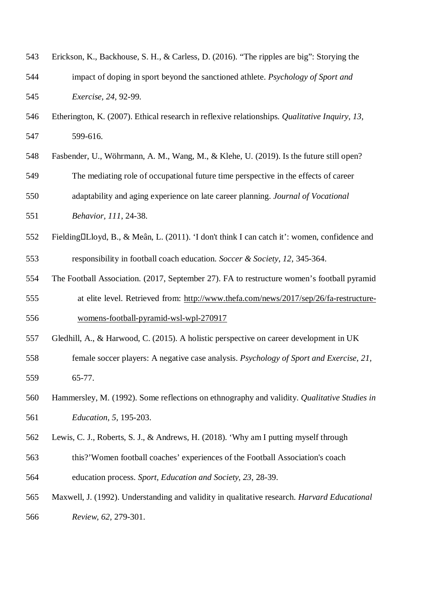| 543 | Erickson, K., Backhouse, S. H., & Carless, D. (2016). "The ripples are big": Storying the     |
|-----|-----------------------------------------------------------------------------------------------|
| 544 | impact of doping in sport beyond the sanctioned athlete. Psychology of Sport and              |
| 545 | Exercise, 24, 92-99.                                                                          |
| 546 | Etherington, K. (2007). Ethical research in reflexive relationships. Qualitative Inquiry, 13, |
| 547 | 599-616.                                                                                      |
| 548 | Fasbender, U., Wöhrmann, A. M., Wang, M., & Klehe, U. (2019). Is the future still open?       |
| 549 | The mediating role of occupational future time perspective in the effects of career           |
| 550 | adaptability and aging experience on late career planning. Journal of Vocational              |
| 551 | Behavior, 111, 24-38.                                                                         |
| 552 | Fielding□Lloyd, B., & Meân, L. (2011). 'I don't think I can catch it': women, confidence and  |
| 553 | responsibility in football coach education. Soccer & Society, 12, 345-364.                    |
| 554 | The Football Association. (2017, September 27). FA to restructure women's football pyramid    |
| 555 | at elite level. Retrieved from: http://www.thefa.com/news/2017/sep/26/fa-restructure-         |
| 556 | womens-football-pyramid-wsl-wpl-270917                                                        |
| 557 | Gledhill, A., & Harwood, C. (2015). A holistic perspective on career development in UK        |
| 558 | female soccer players: A negative case analysis. Psychology of Sport and Exercise, 21,        |
| 559 | 65-77.                                                                                        |
| 560 | Hammersley, M. (1992). Some reflections on ethnography and validity. Qualitative Studies in   |
| 561 | Education, 5, 195-203.                                                                        |
| 562 | Lewis, C. J., Roberts, S. J., & Andrews, H. (2018). 'Why am I putting myself through          |
| 563 | this?'Women football coaches' experiences of the Football Association's coach                 |
| 564 | education process. Sport, Education and Society, 23, 28-39.                                   |
| 565 | Maxwell, J. (1992). Understanding and validity in qualitative research. Harvard Educational   |
| 566 | Review, 62, 279-301.                                                                          |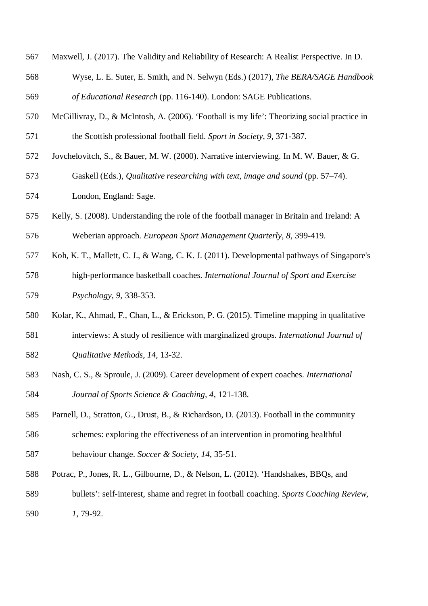- Maxwell, J. (2017). The Validity and Reliability of Research: A Realist Perspective. In D.
- Wyse, L. E. Suter, E. Smith, and N. Selwyn (Eds.) (2017), *The BERA/SAGE Handbook of Educational Research* (pp. 116-140). London: SAGE Publications.
- McGillivray, D., & McIntosh, A. (2006). 'Football is my life': Theorizing social practice in the Scottish professional football field. *Sport in Society, 9,* 371-387.
- Jovchelovitch, S., & Bauer, M. W. (2000). Narrative interviewing. In M. W. Bauer, & G.
- Gaskell (Eds.), *Qualitative researching with text, image and sound* (pp. 57–74).
- London, England: Sage.
- Kelly, S. (2008). Understanding the role of the football manager in Britain and Ireland: A Weberian approach. *European Sport Management Quarterly, 8*, 399-419.
- Koh, K. T., Mallett, C. J., & Wang, C. K. J. (2011). Developmental pathways of Singapore's
- high-performance basketball coaches. *International Journal of Sport and Exercise Psychology, 9,* 338-353.
- Kolar, K., Ahmad, F., Chan, L., & Erickson, P. G. (2015). Timeline mapping in qualitative
- interviews: A study of resilience with marginalized groups*. International Journal of Qualitative Methods, 14,* 13-32.
- Nash, C. S., & Sproule, J. (2009). Career development of expert coaches. *International Journal of Sports Science & Coaching, 4*, 121-138.
- Parnell, D., Stratton, G., Drust, B., & Richardson, D. (2013). Football in the community
- schemes: exploring the effectiveness of an intervention in promoting healthful behaviour change. *Soccer & Society, 14,* 35-51.
- 
- Potrac, P., Jones, R. L., Gilbourne, D., & Nelson, L. (2012). 'Handshakes, BBQs, and
- bullets': self-interest, shame and regret in football coaching. *Sports Coaching Review, 1*, 79-92.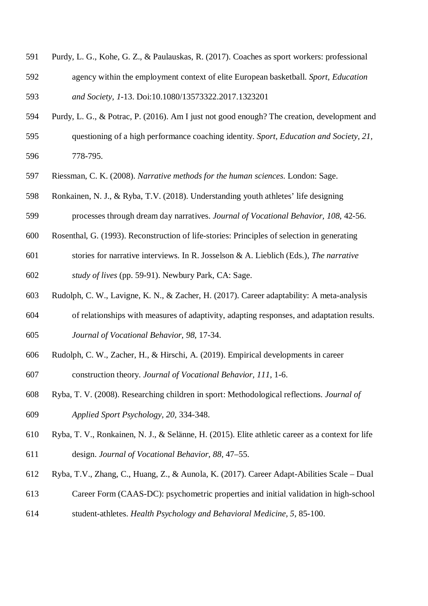- Purdy, L. G., Kohe, G. Z., & Paulauskas, R. (2017). Coaches as sport workers: professional agency within the employment context of elite European basketball. *Sport, Education and Society, 1*-13. Doi:10.1080/13573322.2017.1323201
- Purdy, L. G., & Potrac, P. (2016). Am I just not good enough? The creation, development and
- questioning of a high performance coaching identity. *Sport, Education and Society, 21,* 778-795.
- Riessman, C. K. (2008). *Narrative methods for the human sciences*. London: Sage.
- Ronkainen, N. J., & Ryba, T.V. (2018). Understanding youth athletes' life designing
- processes through dream day narratives. *Journal of Vocational Behavior, 108*, 42-56.
- Rosenthal, G. (1993). Reconstruction of life-stories: Principles of selection in generating
- stories for narrative interviews. In R. Josselson & A. Lieblich (Eds.), *The narrative*

*study of lives* (pp. 59-91). Newbury Park, CA: Sage.

- Rudolph, C. W., Lavigne, K. N., & Zacher, H. (2017). Career adaptability: A meta-analysis
- of relationships with measures of adaptivity, adapting responses, and adaptation results.
- *Journal of Vocational Behavior, 98,* 17-34.
- Rudolph, C. W., Zacher, H., & Hirschi, A. (2019). Empirical developments in career construction theory. *Journal of Vocational Behavior, 111*, 1-6.
- Ryba, T. V. (2008). Researching children in sport: Methodological reflections. *Journal of Applied Sport Psychology, 20,* 334-348.
- Ryba, T. V., Ronkainen, N. J., & Selänne, H. (2015). Elite athletic career as a context for life design. *Journal of Vocational Behavior, 88,* 47–55.
- Ryba, T.V., Zhang, C., Huang, Z., & Aunola, K. (2017). Career Adapt-Abilities Scale Dual
- Career Form (CAAS-DC): psychometric properties and initial validation in high-school
- student-athletes. *Health Psychology and Behavioral Medicine, 5*, 85-100.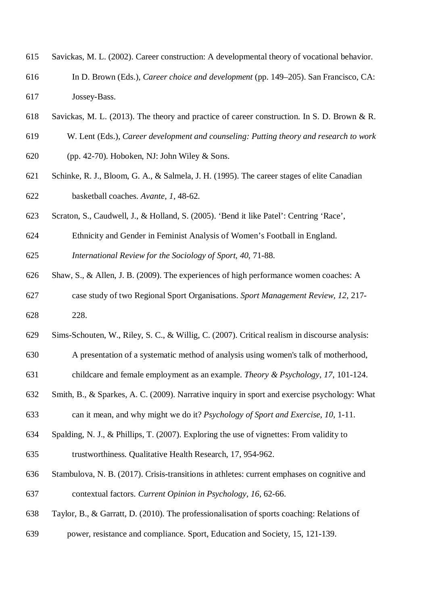- Savickas, M. L. (2002). Career construction: A developmental theory of vocational behavior.
- In D. Brown (Eds.), *Career choice and development* (pp. 149–205). San Francisco, CA: Jossey-Bass.
- Savickas, M. L. (2013). The theory and practice of career construction. In S. D. Brown & R.
- W. Lent (Eds.), *Career development and counseling: Putting theory and research to work*
- (pp. 42-70). Hoboken, NJ: John Wiley & Sons.
- Schinke, R. J., Bloom, G. A., & Salmela, J. H. (1995). The career stages of elite Canadian basketball coaches. *Avante, 1,* 48-62.
- Scraton, S., Caudwell, J., & Holland, S. (2005). 'Bend it like Patel': Centring 'Race',
- Ethnicity and Gender in Feminist Analysis of Women's Football in England.
- *International Review for the Sociology of Sport, 40*, 71-88.
- Shaw, S., & Allen, J. B. (2009). The experiences of high performance women coaches: A case study of two Regional Sport Organisations. *Sport Management Review, 12*, 217- 228.
- Sims-Schouten, W., Riley, S. C., & Willig, C. (2007). Critical realism in discourse analysis:
- A presentation of a systematic method of analysis using women's talk of motherhood,
- childcare and female employment as an example. *Theory & Psychology, 17*, 101-124.
- Smith, B., & Sparkes, A. C. (2009). Narrative inquiry in sport and exercise psychology: What
- can it mean, and why might we do it? *Psychology of Sport and Exercise, 10*, 1-11.
- Spalding, N. J., & Phillips, T. (2007). Exploring the use of vignettes: From validity to
- trustworthiness. Qualitative Health Research, 17, 954-962.
- Stambulova, N. B. (2017). Crisis-transitions in athletes: current emphases on cognitive and contextual factors. *Current Opinion in Psychology, 16,* 62-66.
- Taylor, B., & Garratt, D. (2010). The professionalisation of sports coaching: Relations of
- power, resistance and compliance. Sport, Education and Society, 15, 121-139.